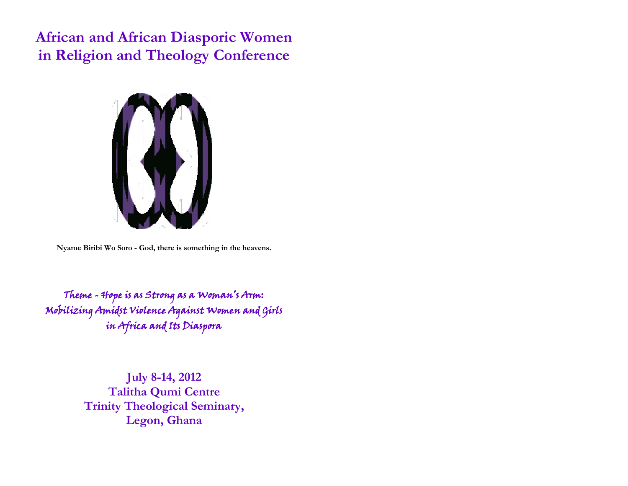**African and African Diasporic Women in Religion and Theology Conference**



**Nyame Biribi Wo Soro - God, there is something in the heavens.**

Theme - Hope is as Strong as a Woman's Arm: Mobilizing Amidst Violence Against Women and Girls in Africa and Its Diaspora

> **July 8-14, 2012 Talitha Qumi Centre Trinity Theological Seminary, Legon, Ghana**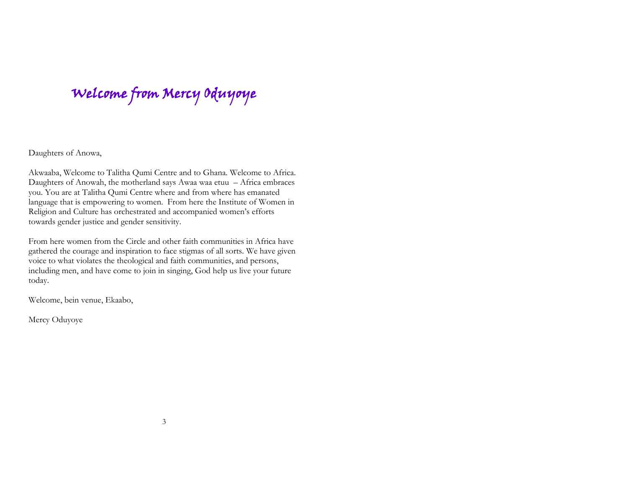Welcome from Mercy Oduyoye

Daughters of Anowa,

Akwaaba, Welcome to Talitha Qumi Centre and to Ghana. Welcome to Africa. Daughters of Anowah, the motherland says Awaa waa etuu – Africa embraces you. You are at Talitha Qumi Centre where and from where has emanated language that is empowering to women. From here the Institute of Women in Religion and Culture has orchestrated and accompanied women's efforts towards gender justice and gender sensitivity.

From here women from the Circle and other faith communities in Africa have gathered the courage and inspiration to face stigmas of all sorts. We have given voice to what violates the theological and faith communities, and persons, including men, and have come to join in singing, God help us live your future today.

Welcome, bein venue, Ekaabo,

Mercy Oduyoye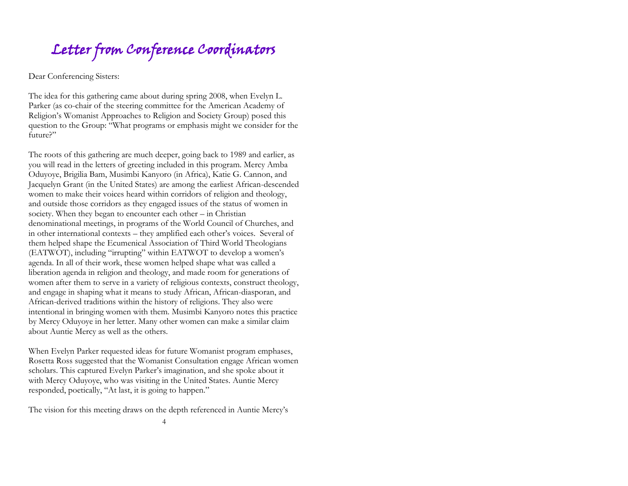# Letter from Conference Coordinators

Dear Conferencing Sisters:

The idea for this gathering came about during spring 2008, when Evelyn L. Parker (as co-chair of the steering committee for the American Academy of Religion's Womanist Approaches to Religion and Society Group) posed this question to the Group: "What programs or emphasis might we consider for the future?"

The roots of this gathering are much deeper, going back to 1989 and earlier, as you will read in the letters of greeting included in this program. Mercy Amba Oduyoye, Brigilia Bam, Musimbi Kanyoro (in Africa), Katie G. Cannon, and Jacquelyn Grant (in the United States) are among the earliest African-descended women to make their voices heard within corridors of religion and theology, and outside those corridors as they engaged issues of the status of women in society. When they began to encounter each other – in Christian denominational meetings, in programs of the World Council of Churches, and in other international contexts – they amplified each other's voices. Several of them helped shape the Ecumenical Association of Third World Theologians (EATWOT), including "irrupting" within EATWOT to develop a women's agenda. In all of their work, these women helped shape what was called a liberation agenda in religion and theology, and made room for generations of women after them to serve in a variety of religious contexts, construct theology, and engage in shaping what it means to study African, African-diasporan, and African-derived traditions within the history of religions. They also were intentional in bringing women with them. Musimbi Kanyoro notes this practice by Mercy Oduyoye in her letter. Many other women can make a similar claim about Auntie Mercy as well as the others.

When Evelyn Parker requested ideas for future Womanist program emphases, Rosetta Ross suggested that the Womanist Consultation engage African women scholars. This captured Evelyn Parker's imagination, and she spoke about it with Mercy Oduyoye, who was visiting in the United States. Auntie Mercy responded, poetically, "At last, it is going to happen."

The vision for this meeting draws on the depth referenced in Auntie Mercy's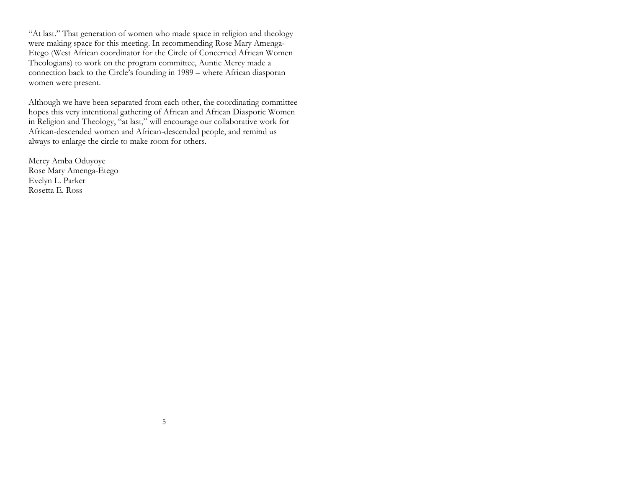"At last." That generation of women who made space in religion and theology were making space for this meeting. In recommending Rose Mary Amenga-Etego (West African coordinator for the Circle of Concerned African Women Theologians) to work on the program committee, Auntie Mercy made a connection back to the Circle's founding in 1989 – where African diasporan women were present.

Although we have been separated from each other, the coordinating committee hopes this very intentional gathering of African and African Diasporic Women in Religion and Theology, "at last," will encourage our collaborative work for African-descended women and African-descended people, and remind us always to enlarge the circle to make room for others.

Mercy Amba Oduyoye Rose Mary Amenga-Etego Evelyn L. Parker Rosetta E. Ross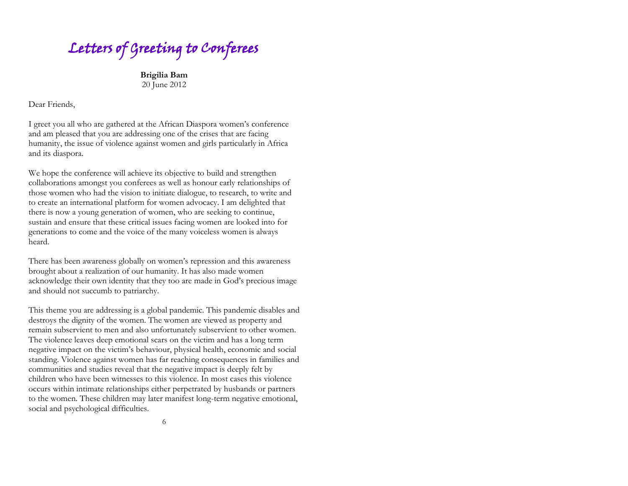Letters of Greeting to Conferees

**Brigilia Bam** 20 June 2012

Dear Friends,

I greet you all who are gathered at the African Diaspora women's conference and am pleased that you are addressing one of the crises that are facing humanity, the issue of violence against women and girls particularly in Africa and its diaspora.

We hope the conference will achieve its objective to build and strengthen collaborations amongst you conferees as well as honour early relationships of those women who had the vision to initiate dialogue, to research, to write and to create an international platform for women advocacy. I am delighted that there is now a young generation of women, who are seeking to continue, sustain and ensure that these critical issues facing women are looked into for generations to come and the voice of the many voiceless women is always heard.

There has been awareness globally on women's repression and this awareness brought about a realization of our humanity. It has also made women acknowledge their own identity that they too are made in God's precious image and should not succumb to patriarchy.

This theme you are addressing is a global pandemic. This pandemic disables and destroys the dignity of the women. The women are viewed as property and remain subservient to men and also unfortunately subservient to other women. The violence leaves deep emotional scars on the victim and has a long term negative impact on the victim's behaviour, physical health, economic and social standing. Violence against women has far reaching consequences in families and communities and studies reveal that the negative impact is deeply felt by children who have been witnesses to this violence. In most cases this violence occurs within intimate relationships either perpetrated by husbands or partners to the women. These children may later manifest long-term negative emotional, social and psychological difficulties.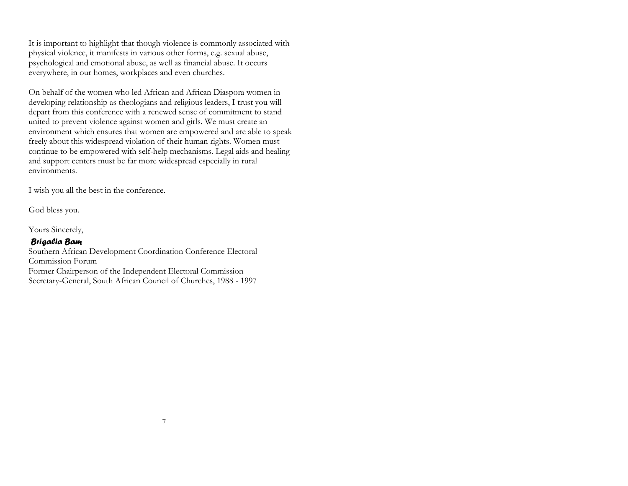It is important to highlight that though violence is commonly associated with physical violence, it manifests in various other forms, e.g. sexual abuse, psychological and emotional abuse, as well as financial abuse. It occurs everywhere, in our homes, workplaces and even churches.

On behalf of the women who led African and African Diaspora women in developing relationship as theologians and religious leaders, I trust you will depart from this conference with a renewed sense of commitment to stand united to prevent violence against women and girls. We must create an environment which ensures that women are empowered and are able to speak freely about this widespread violation of their human rights. Women must continue to be empowered with self-help mechanisms. Legal aids and healing and support centers must be far more widespread especially in rural environments.

I wish you all the best in the conference.

God bless you.

Yours Sincerely,

#### *Brigalia Bam*

Southern African Development Coordination Conference Electoral Commission Forum Former Chairperson of the Independent Electoral Commission Secretary-General, South African Council of Churches, 1988 - 1997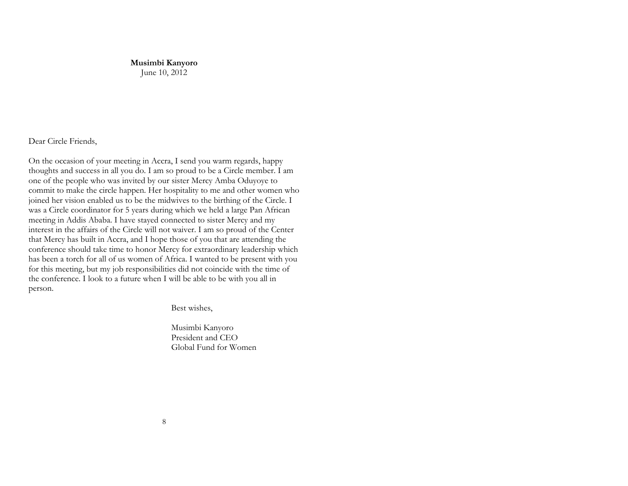**Musimbi Kanyoro** June 10, 2012

Dear Circle Friends,

On the occasion of your meeting in Accra, I send you warm regards, happy thoughts and success in all you do. I am so proud to be a Circle member. I am one of the people who was invited by our sister Mercy Amba Oduyoye to commit to make the circle happen. Her hospitality to me and other women who joined her vision enabled us to be the midwives to the birthing of the Circle. I was a Circle coordinator for 5 years during which we held a large Pan African meeting in Addis Ababa. I have stayed connected to sister Mercy and my interest in the affairs of the Circle will not waiver. I am so proud of the Center that Mercy has built in Accra, and I hope those of you that are attending the conference should take time to honor Mercy for extraordinary leadership which has been a torch for all of us women of Africa. I wanted to be present with you for this meeting, but my job responsibilities did not coincide with the time of the conference. I look to a future when I will be able to be with you all in person.

Best wishes,

Musimbi Kanyoro President and CEO Global Fund for Women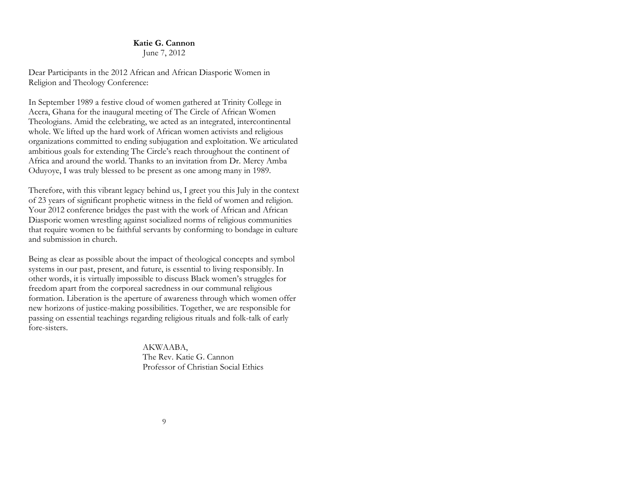#### **Katie G. Cannon** June 7, 2012

Dear Participants in the 2012 African and African Diasporic Women in Religion and Theology Conference:

In September 1989 a festive cloud of women gathered at Trinity College in Accra, Ghana for the inaugural meeting of The Circle of African Women Theologians. Amid the celebrating, we acted as an integrated, intercontinental whole. We lifted up the hard work of African women activists and religious organizations committed to ending subjugation and exploitation. We articulated ambitious goals for extending The Circle's reach throughout the continent of Africa and around the world. Thanks to an invitation from Dr. Mercy Amba Oduyoye, I was truly blessed to be present as one among many in 1989.

Therefore, with this vibrant legacy behind us, I greet you this July in the context of 23 years of significant prophetic witness in the field of women and religion. Your 2012 conference bridges the past with the work of African and African Diasporic women wrestling against socialized norms of religious communities that require women to be faithful servants by conforming to bondage in culture and submission in church.

Being as clear as possible about the impact of theological concepts and symbol systems in our past, present, and future, is essential to living responsibly. In other words, it is virtually impossible to discuss Black women's struggles for freedom apart from the corporeal sacredness in our communal religious formation. Liberation is the aperture of awareness through which women offer new horizons of justice-making possibilities. Together, we are responsible for passing on essential teachings regarding religious rituals and folk-talk of early fore-sisters.

> AKWAABA, The Rev. Katie G. Cannon Professor of Christian Social Ethics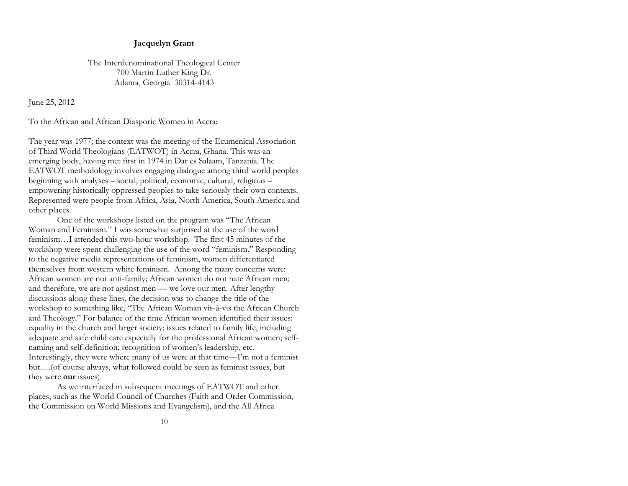#### **Jacquelyn Grant**

The Interdenominational Theological Center 700 Martin Luther King Dr. Atlanta, Georgia 30314-4143

June 25, 2012

To the African and African Diasporic Women in Accra:

The year was 1977; the context was the meeting of the Ecumenical Association of Third World Theologians (EATWOT) in Accra, Ghana. This was an emerging body, having met first in 1974 in Dar es Salaam, Tanzania. The EATWOT methodology involves engaging dialogue among third world peoples beginning with analyses – social, political, economic, cultural, religious – empowering historically oppressed peoples to take seriously their own contexts. Represented were people from Africa, Asia, North America, South America and other places.

One of the workshops listed on the program was "The African Woman and Feminism." I was somewhat surprised at the use of the word feminism…I attended this two-hour workshop. The first 45 minutes of the workshop were spent challenging the use of the word "feminism." Responding to the negative media representations of feminism, women differentiated themselves from western white feminism. Among the many concerns were: African women are not anti-family; African women do not hate African men; and therefore, we are not against men — we love our men. After lengthy discussions along these lines, the decision was to change the title of the workshop to something like, "The African Woman vis-à-vis the African Church and Theology." For balance of the time African women identified their issues: equality in the church and larger society; issues related to family life, including adequate and safe child care especially for the professional African women; selfnaming and self-definition; recognition of women's leadership, etc. Interestingly, they were where many of us were at that time—I'm not a feminist but….(of course always, what followed could be seen as feminist issues, but they were **our** issues).

As we interfaced in subsequent meetings of EATWOT and other places, such as the World Council of Churches (Faith and Order Commission, the Commission on World Missions and Evangelism), and the All Africa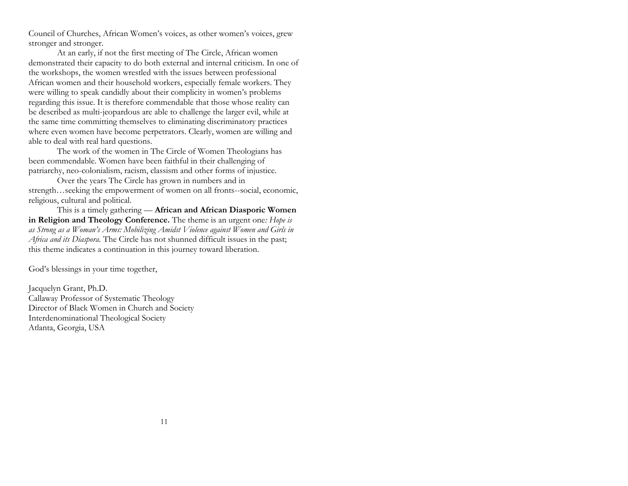Council of Churches, African Women's voices, as other women's voices, grew stronger and stronger.

At an early, if not the first meeting of The Circle, African women demonstrated their capacity to do both external and internal criticism. In one of the workshops, the women wrestled with the issues between professional African women and their household workers, especially female workers. They were willing to speak candidly about their complicity in women's problems regarding this issue. It is therefore commendable that those whose reality can be described as multi-jeopardous are able to challenge the larger evil, while at the same time committing themselves to eliminating discriminatory practices where even women have become perpetrators. Clearly, women are willing and able to deal with real hard questions.

The work of the women in The Circle of Women Theologians has been commendable. Women have been faithful in their challenging of patriarchy, neo-colonialism, racism, classism and other forms of injustice.

Over the years The Circle has grown in numbers and in strength…seeking the empowerment of women on all fronts--social, economic, religious, cultural and political.

This is a timely gathering — **African and African Diasporic Women in Religion and Theology Conference.** The theme is an urgent one*: Hope is as Strong as a Woman's Arms: Mobilizing Amidst Violence against Women and Girls in Africa and its Diaspora.* The Circle has not shunned difficult issues in the past; this theme indicates a continuation in this journey toward liberation.

God's blessings in your time together,

Jacquelyn Grant, Ph.D. Callaway Professor of Systematic Theology Director of Black Women in Church and Society Interdenominational Theological Society Atlanta, Georgia, USA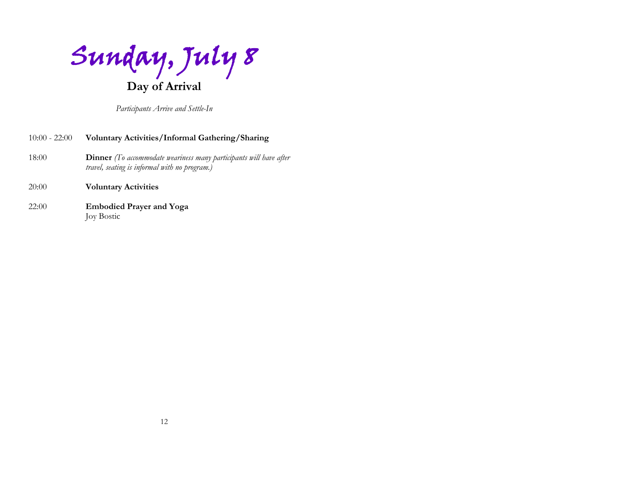Sunday, July 8 **Day of Arrival**

*Participants Arrive and Settle-In*

## 10:00 - 22:00 **Voluntary Activities/Informal Gathering/Sharing** 18:00 **Dinner** *(To accommodate weariness many participants will have after travel, seating is informal with no program.)* 20:00 **Voluntary Activities**

#### 22:00 **Embodied Prayer and Yoga**  Joy Bostic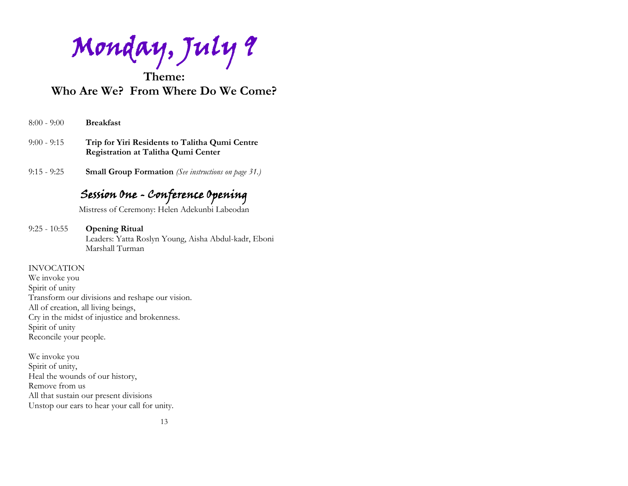Monday, July 9

**Theme: Who Are We? From Where Do We Come?**

| $8:00 - 9:00$ |  |  | <b>Breakfast</b> |
|---------------|--|--|------------------|
|---------------|--|--|------------------|

- 9:00 9:15 **Trip for Yiri Residents to Talitha Qumi Centre Registration at Talitha Qumi Center**
- 9:15 9:25 **Small Group Formation** *(See instructions on page 31.)*

## Session One - Conference Opening

Mistress of Ceremony: Helen Adekunbi Labeodan

9:25 - 10:55 **Opening Ritual**  Leaders: Yatta Roslyn Young, Aisha Abdul-kadr, Eboni Marshall Turman

#### INVOCATION

We invoke you Spirit of unity Transform our divisions and reshape our vision. All of creation, all living beings, Cry in the midst of injustice and brokenness. Spirit of unity Reconcile your people.

We invoke you Spirit of unity, Heal the wounds of our history, Remove from us All that sustain our present divisions Unstop our ears to hear your call for unity.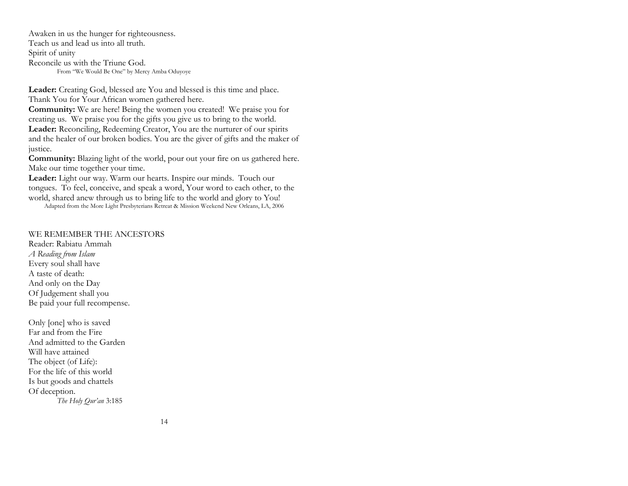Awaken in us the hunger for righteousness. Teach us and lead us into all truth. Spirit of unity Reconcile us with the Triune God. From "We Would Be One" by Mercy Amba Oduyoye

**Leader:** Creating God, blessed are You and blessed is this time and place. Thank You for Your African women gathered here.

**Community:** We are here! Being the women you created! We praise you for creating us. We praise you for the gifts you give us to bring to the world. **Leader:** Reconciling, Redeeming Creator, You are the nurturer of our spirits and the healer of our broken bodies. You are the giver of gifts and the maker of justice.

**Community:** Blazing light of the world, pour out your fire on us gathered here. Make our time together your time.

**Leader:** Light our way. Warm our hearts. Inspire our minds. Touch our tongues. To feel, conceive, and speak a word, Your word to each other, to the world, shared anew through us to bring life to the world and glory to You!

Adapted from the More Light Presbyterians Retreat & Mission Weekend New Orleans, LA, 2006

#### WE REMEMBER THE ANCESTORS

Reader: Rabiatu Ammah *A Reading from Islam* Every soul shall have A taste of death: And only on the Day Of Judgement shall you Be paid your full recompense.

Only [one] who is saved Far and from the Fire And admitted to the Garden Will have attained The object (of Life): For the life of this world Is but goods and chattels Of deception. *The Holy Qur'an* 3:185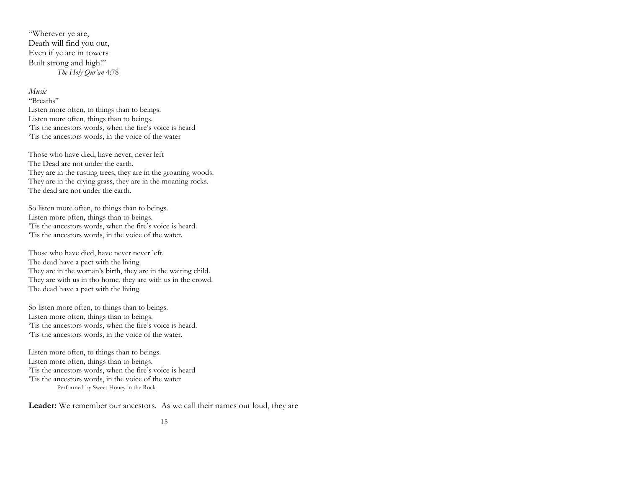"Wherever ye are, Death will find you out, Even if ye are in towers Built strong and high!" *The Holy Qur'an* 4:78

#### *Music*

"Breaths" Listen more often, to things than to beings. Listen more often, things than to beings. 'Tis the ancestors words, when the fire's voice is heard 'Tis the ancestors words, in the voice of the water

Those who have died, have never, never left The Dead are not under the earth. They are in the rusting trees, they are in the groaning woods. They are in the crying grass, they are in the moaning rocks. The dead are not under the earth.

So listen more often, to things than to beings. Listen more often, things than to beings. 'Tis the ancestors words, when the fire's voice is heard. 'Tis the ancestors words, in the voice of the water.

Those who have died, have never never left. The dead have a pact with the living. They are in the woman's birth, they are in the waiting child. They are with us in tho home, they are with us in the crowd. The dead have a pact with the living.

So listen more often, to things than to beings. Listen more often, things than to beings. 'Tis the ancestors words, when the fire's voice is heard. 'Tis the ancestors words, in the voice of the water.

Listen more often, to things than to beings. Listen more often, things than to beings. 'Tis the ancestors words, when the fire's voice is heard 'Tis the ancestors words, in the voice of the water Performed by Sweet Honey in the Rock

**Leader:** We remember our ancestors. As we call their names out loud, they are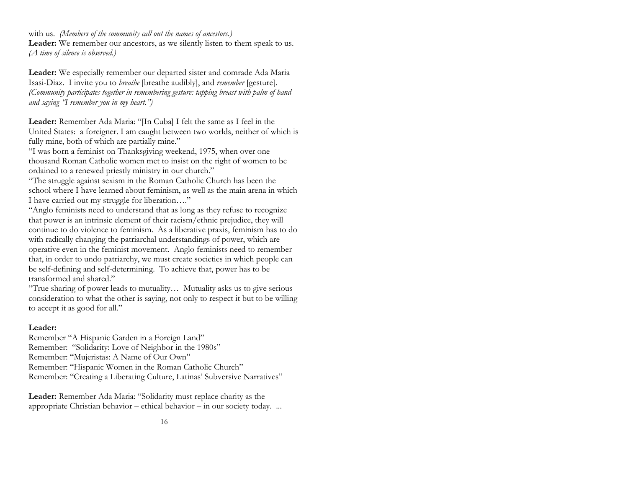with us. *(Members of the community call out the names of ancestors.)*

Leader: We remember our ancestors, as we silently listen to them speak to us. *(A time of silence is observed.)*

**Leader:** We especially remember our departed sister and comrade Ada Maria Isasi-Diaz. I invite you to *breathe* [breathe audibly], and *remember* [gesture]. *(Community participates together in remembering gesture: tapping breast with palm of hand and saying "I remember you in my heart.")*

**Leader:** Remember Ada Maria: "[In Cuba] I felt the same as I feel in the United States: a foreigner. I am caught between two worlds, neither of which is fully mine, both of which are partially mine."

"I was born a feminist on Thanksgiving weekend, 1975, when over one thousand Roman Catholic women met to insist on the right of women to be ordained to a renewed priestly ministry in our church."

"The struggle against sexism in the Roman Catholic Church has been the school where I have learned about feminism, as well as the main arena in which I have carried out my struggle for liberation…."

"Anglo feminists need to understand that as long as they refuse to recognize that power is an intrinsic element of their racism/ethnic prejudice, they will continue to do violence to feminism. As a liberative praxis, feminism has to do with radically changing the patriarchal understandings of power, which are operative even in the feminist movement. Anglo feminists need to remember that, in order to undo patriarchy, we must create societies in which people can be self-defining and self-determining. To achieve that, power has to be transformed and shared."

"True sharing of power leads to mutuality… Mutuality asks us to give serious consideration to what the other is saying, not only to respect it but to be willing to accept it as good for all."

#### **Leader:**

Remember "A Hispanic Garden in a Foreign Land" Remember: "Solidarity: Love of Neighbor in the 1980s" Remember: "Mujeristas: A Name of Our Own" Remember: "Hispanic Women in the Roman Catholic Church" Remember: "Creating a Liberating Culture, Latinas' Subversive Narratives"

**Leader:** Remember Ada Maria: "Solidarity must replace charity as the appropriate Christian behavior – ethical behavior – in our society today. ...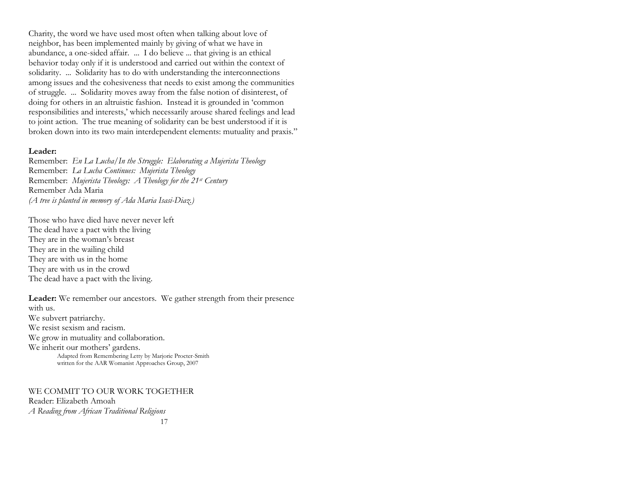Charity, the word we have used most often when talking about love of neighbor, has been implemented mainly by giving of what we have in abundance, a one-sided affair. ... I do believe ... that giving is an ethical behavior today only if it is understood and carried out within the context of solidarity. ... Solidarity has to do with understanding the interconnections among issues and the cohesiveness that needs to exist among the communities of struggle. ... Solidarity moves away from the false notion of disinterest, of doing for others in an altruistic fashion. Instead it is grounded in 'common responsibilities and interests,' which necessarily arouse shared feelings and lead to joint action. The true meaning of solidarity can be best understood if it is broken down into its two main interdependent elements: mutuality and praxis."

#### **Leader:**

Remember: *En La Lucha/In the Struggle: Elaborating a Mujerista Theology* Remember: *La Lucha Continues: Mujerista Theology* Remember: *Mujerista Theology: A Theology for the 21st Century*  Remember Ada Maria *(A tree is planted in memory of Ada Maria Isasi-Diaz.)*

Those who have died have never never left The dead have a pact with the living They are in the woman's breast They are in the wailing child They are with us in the home They are with us in the crowd The dead have a pact with the living.

**Leader:** We remember our ancestors. We gather strength from their presence with us. We subvert patriarchy. We resist sexism and racism. We grow in mutuality and collaboration. We inherit our mothers' gardens.

Adapted from Remembering Letty by Marjorie Procter-Smith written for the AAR Womanist Approaches Group, 2007

17 WE COMMIT TO OUR WORK TOGETHER Reader: Elizabeth Amoah *A Reading from African Traditional Religions*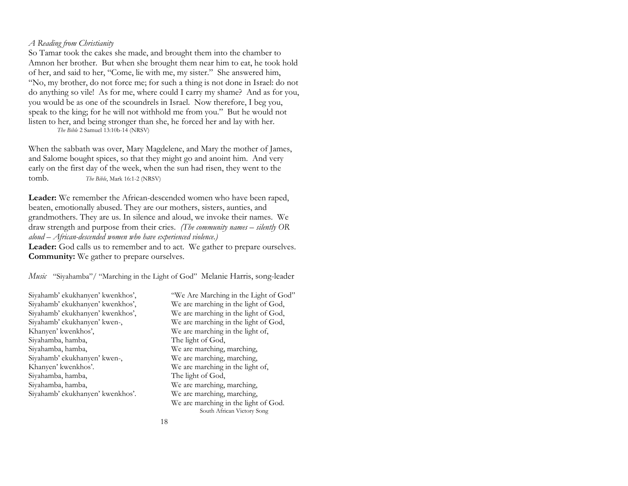#### *A Reading from Christianity*

So Tamar took the cakes she made, and brought them into the chamber to Amnon her brother. But when she brought them near him to eat, he took hold of her, and said to her, "Come, lie with me, my sister." She answered him, "No, my brother, do not force me; for such a thing is not done in Israel: do not do anything so vile! As for me, where could I carry my shame? And as for you, you would be as one of the scoundrels in Israel. Now therefore, I beg you, speak to the king; for he will not withhold me from you." But he would not listen to her, and being stronger than she, he forced her and lay with her. *The Bible* 2 Samuel 13:10b-14 (NRSV)

When the sabbath was over, Mary Magdelene, and Mary the mother of James, and Salome bought spices, so that they might go and anoint him. And very early on the first day of the week, when the sun had risen, they went to the tomb. *The Bible*, Mark 16:1-2 (NRSV)

**Leader:** We remember the African-descended women who have been raped, beaten, emotionally abused. They are our mothers, sisters, aunties, and grandmothers. They are us. In silence and aloud, we invoke their names. We draw strength and purpose from their cries. *(The community names – silently OR aloud – African-descended women who have experienced violence.)* 

**Leader:** God calls us to remember and to act. We gather to prepare ourselves. **Community:** We gather to prepare ourselves.

*Music* "Siyahamba"/ "Marching in the Light of God" Melanie Harris, song-leader

| Siyahamb' ekukhanyen' kwenkhos', |
|----------------------------------|
| Siyahamb' ekukhanyen' kwenkhos', |
| Siyahamb' ekukhanyen' kwenkhos', |
| Siyahamb' ekukhanyen' kwen-,     |
| Khanyen' kwenkhos',              |
| Siyahamba, hamba,                |
| Siyahamba, hamba,                |
| Siyahamb' ekukhanyen' kwen-,     |
| Khanyen' kwenkhos'.              |
| Siyahamba, hamba,                |
| Siyahamba, hamba,                |
| Siyahamb' ekukhanyen' kwenkhos'. |

"We Are Marching in the Light of God" We are marching in the light of God, We are marching in the light of God, We are marching in the light of God, We are marching in the light of, The light of God, We are marching, marching, We are marching, marching, We are marching in the light of, The light of God, We are marching, marching, We are marching, marching, We are marching in the light of God. South African Victory Song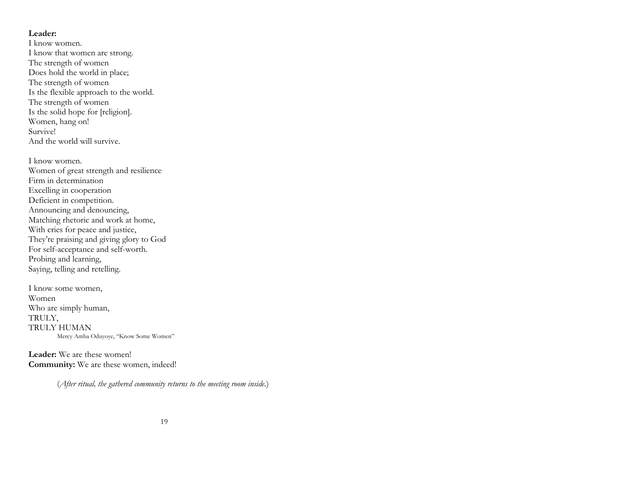#### **Leader:**

I know women. I know that women are strong. The strength of women Does hold the world in place; The strength of women Is the flexible approach to the world. The strength of women Is the solid hope for [religion]. Women, hang on! Survive! And the world will survive.

I know women. Women of great strength and resilience Firm in determination Excelling in cooperation Deficient in competition. Announcing and denouncing, Matching rhetoric and work at home, With cries for peace and justice, They're praising and giving glory to God For self-acceptance and self-worth. Probing and learning, Saying, telling and retelling.

I know some women, Women Who are simply human, TRULY, TRULY HUMAN Mercy Amba Oduyoye, "Know Some Women"

**Leader:** We are these women! **Community:** We are these women, indeed!

(*After ritual, the gathered community returns to the meeting room inside.*)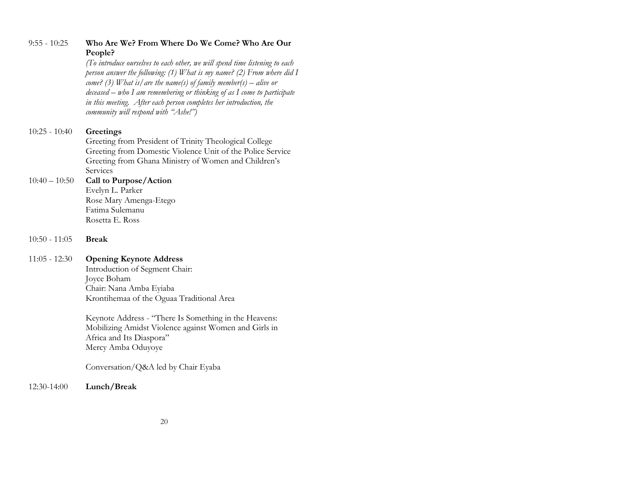| $9:55 - 10:25$  | Who Are We? From Where Do We Come? Who Are Our<br>People?                   |
|-----------------|-----------------------------------------------------------------------------|
|                 | (To introduce ourselves to each other, we will spend time listening to each |
|                 | person answer the following: (1) W hat is my name? (2) From where did I     |
|                 | come? (3) What is/ are the name(s) of family member(s) – alive or           |
|                 | $descased - who I$ am remembering or thinking of as I come to participate   |
|                 | in this meeting. After each person completes her introduction, the          |
|                 | community will respond with "Ashe!")                                        |
| $10:25 - 10:40$ | Greetings                                                                   |
|                 | Greeting from President of Trinity Theological College                      |
|                 | Greeting from Domestic Violence Unit of the Police Service                  |
|                 | Greeting from Ghana Ministry of Women and Children's                        |
|                 | Services                                                                    |
| $10:40 - 10:50$ | Call to Purpose/Action                                                      |
|                 | Evelyn L. Parker                                                            |
|                 | Rose Mary Amenga-Etego                                                      |
|                 | Fatima Sulemanu                                                             |
|                 | Rosetta E. Ross                                                             |
| $10:50 - 11:05$ | <b>Break</b>                                                                |
| $11:05 - 12:30$ | <b>Opening Keynote Address</b>                                              |
|                 | Introduction of Segment Chair:                                              |
|                 | Joyce Boham                                                                 |
|                 | Chair: Nana Amba Eyiaba                                                     |
|                 | Krontihemaa of the Oguaa Traditional Area                                   |
|                 | Keynote Address - "There Is Something in the Heavens:                       |
|                 | Mobilizing Amidst Violence against Women and Girls in                       |
|                 | Africa and Its Diaspora"                                                    |

Conversation/Q&A led by Chair Eyaba

Mercy Amba Oduyoye

12:30-14:00 **Lunch/Break**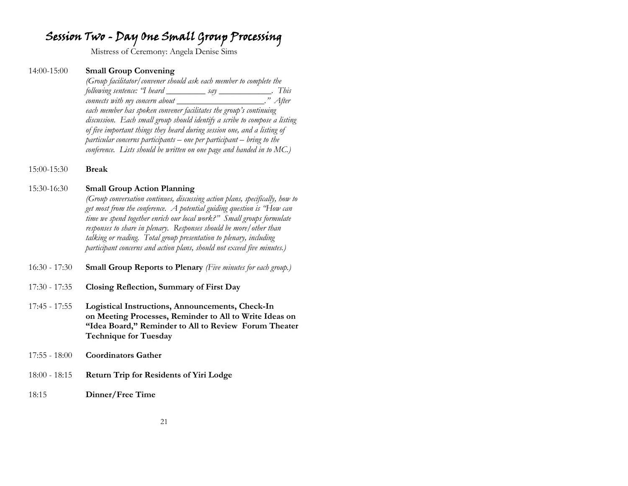## Session Two - Day One Small Group Processing

Mistress of Ceremony: Angela Denise Sims

#### 14:00-15:00 **Small Group Convening**

*(Group facilitator/convener should ask each member to complete the following sentence: "I heard \_\_\_\_\_\_\_\_\_ say \_\_\_\_\_\_\_\_\_\_\_\_. This connects with my concern about \_\_\_\_\_\_\_\_\_\_\_\_\_\_\_\_\_\_\_\_." After each member has spoken convener facilitates the group's continuing discussion. Each small group should identify a scribe to compose a listing of five important things they heard during session one, and a listing of particular concerns participants – one per participant – bring to the conference. Lists should be written on one page and handed in to MC.)*

15:00-15:30 **Break**

#### 15:30-16:30 **Small Group Action Planning**

*(Group conversation continues, discussing action plans, specifically, how to get most from the conference. A potential guiding question is "How can time we spend together enrich our local work?" Small groups formulate responses to share in plenary. Responses should be more/other than talking or reading. Total group presentation to plenary, including participant concerns and action plans, should not exceed five minutes.)* 

- 16:30 17:30 **Small Group Reports to Plenary** *(Five minutes for each group.)*
- 17:30 17:35 **Closing Reflection, Summary of First Day**
- 17:45 17:55 **Logistical Instructions, Announcements, Check-In on Meeting Processes, Reminder to All to Write Ideas on "Idea Board," Reminder to All to Review Forum Theater Technique for Tuesday**
- 17:55 18:00 **Coordinators Gather**
- 18:00 18:15 **Return Trip for Residents of Yiri Lodge**
- 18:15 **Dinner/Free Time**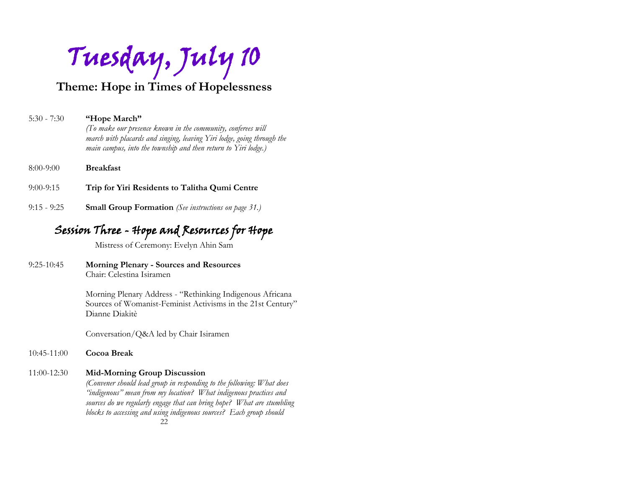Tuesday, July 10

**Theme: Hope in Times of Hopelessness**

#### 5:30 - 7:30 **"Hope March"**

*(To make our presence known in the community, conferees will march with placards and singing, leaving Yiri lodge, going through the main campus, into the township and then return to Yiri lodge.)*

- 8:00-9:00 **Breakfast**
- 9:00-9:15 **Trip for Yiri Residents to Talitha Qumi Centre**
- 9:15 9:25 **Small Group Formation** *(See instructions on page 31.)*

## Session Three - Hope and Resources for Hope

Mistress of Ceremony: Evelyn Ahin Sam

#### 9:25-10:45 **Morning Plenary - Sources and Resources** Chair: Celestina Isiramen

Morning Plenary Address - "Rethinking Indigenous Africana Sources of Womanist-Feminist Activisms in the 21st Century" Dianne Diakitè

Conversation/Q&A led by Chair Isiramen

#### 10:45-11:00 **Cocoa Break**

#### 11:00-12:30 **Mid-Morning Group Discussion**

*(Convener should lead group in responding to the following: What does "indigenous" mean from my location? What indigenous practices and sources do we regularly engage that can bring hope? What are stumbling blocks to accessing and using indigenous sources? Each group should*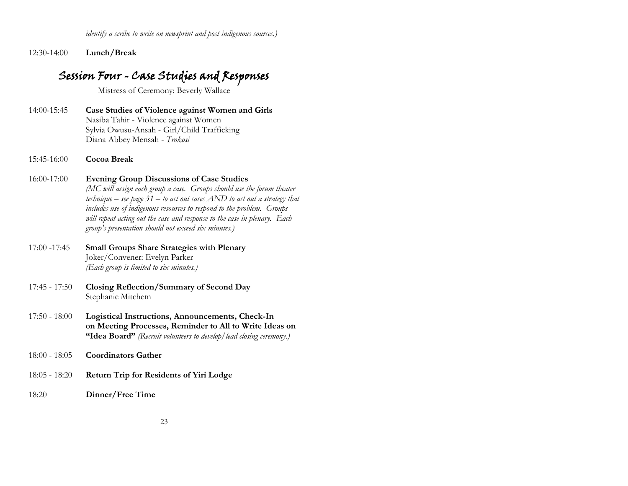12:30-14:00 **Lunch/Break**

# Session Four - Case Studies and Responses

Mistress of Ceremony: Beverly Wallace

- 14:00-15:45 **Case Studies of Violence against Women and Girls** Nasiba Tahir - Violence against Women Sylvia Owusu-Ansah - Girl/Child Trafficking Diana Abbey Mensah - *Trokosi*
- 15:45-16:00 **Cocoa Break**
- 16:00-17:00 **Evening Group Discussions of Case Studies** *(MC will assign each group a case. Groups should use the forum theater*

*technique – see page 31 – to act out cases AND to act out a strategy that includes use of indigenous resources to respond to the problem. Groups will repeat acting out the case and response to the case in plenary. Each group's presentation should not exceed six minutes.)*

- 17:00 -17:45 **Small Groups Share Strategies with Plenary** Joker/Convener: Evelyn Parker *(Each group is limited to six minutes.)*
- 17:45 17:50 **Closing Reflection/Summary of Second Day** Stephanie Mitchem
- 17:50 18:00 **Logistical Instructions, Announcements, Check-In on Meeting Processes, Reminder to All to Write Ideas on "Idea Board"** *(Recruit volunteers to develop/lead closing ceremony.)*
- 18:00 18:05 **Coordinators Gather**
- 18:05 18:20 **Return Trip for Residents of Yiri Lodge**
- 18:20 **Dinner/Free Time**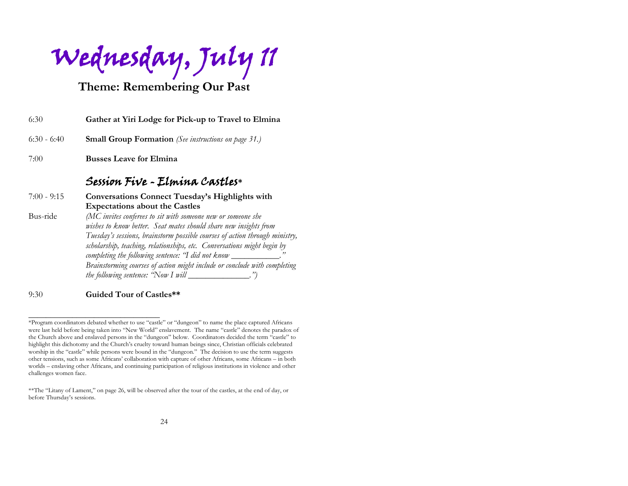Wednesday, July 11

## **Theme: Remembering Our Past**

| 6:30          | Gather at Yiri Lodge for Pick-up to Travel to Elmina        |
|---------------|-------------------------------------------------------------|
| $6:30 - 6:40$ | <b>Small Group Formation</b> (See instructions on page 31.) |
| 7:00          | <b>Busses Leave for Elmina</b>                              |

## Session Five - Elmina Castles**\***

7:00 - 9:15 **Conversations Connect Tuesday's Highlights with Expectations about the Castles** Bus-ride *(MC invites conferees to sit with someone new or someone she wishes to know better. Seat mates should share new insights from Tuesday's sessions, brainstorm possible courses of action through ministry, scholarship, teaching, relationships, etc. Conversations might begin by completing the following sentence: "I did not know \_\_\_\_\_\_\_\_\_\_\_\_\_\_\_\_\_\_\_\_\_\_\_\_\_\_\_\_\_ Brainstorming courses of action might include or conclude with completing the following sentence:* "Now I will \_\_\_\_\_\_\_\_\_\_\_\_.")

9:30 **Guided Tour of Castles\*\***

\_\_\_\_\_\_\_\_\_\_\_\_\_\_\_\_\_\_\_\_\_\_\_\_\_\_\_\_\_\_

<sup>\*</sup>Program coordinators debated whether to use "castle" or "dungeon" to name the place captured Africans were last held before being taken into "New World" enslavement. The name "castle" denotes the paradox of the Church above and enslaved persons in the "dungeon" below. Coordinators decided the term "castle" to highlight this dichotomy and the Church's cruelty toward human beings since, Christian officials celebrated worship in the "castle" while persons were bound in the "dungeon." The decision to use the term suggests other tensions, such as some Africans' collaboration with capture of other Africans, some Africans – in both worlds – enslaving other Africans, and continuing participation of religious institutions in violence and other challenges women face.

<sup>\*\*</sup>The "Litany of Lament," on page 26, will be observed after the tour of the castles, at the end of day, or before Thursday's sessions.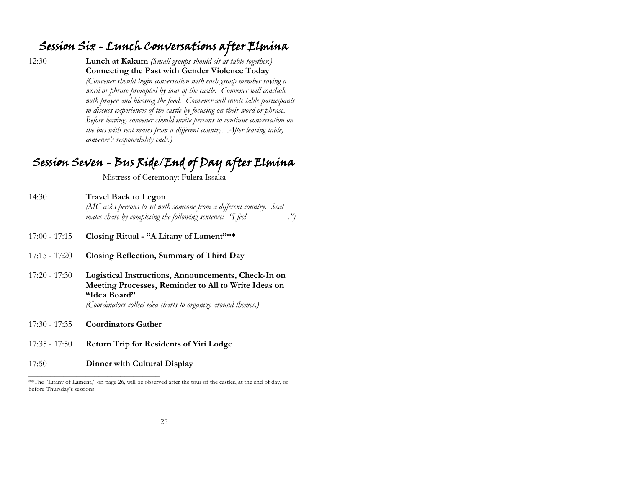## Session Six - Lunch Conversations after Elmina

12:30 **Lunch at Kakum** *(Small groups should sit at table together.)* **Connecting the Past with Gender Violence Today**  *(Convener should begin conversation with each group member saying a word or phrase prompted by tour of the castle. Convener will conclude with prayer and blessing the food. Convener will invite table participants to discuss experiences of the castle by focusing on their word or phrase. Before leaving, convener should invite persons to continue conversation on the bus with seat mates from a different country. After leaving table, convener's responsibility ends.)*

# Session Seven - Bus Ride/End of Day after Elmina

Mistress of Ceremony: Fulera Issaka

- 14:30 **Travel Back to Legon**  *(MC asks persons to sit with someone from a different country. Seat mates share by completing the following sentence: "I feel \_\_\_\_\_\_\_\_\_.")*
- 17:00 17:15 **Closing Ritual - "A Litany of Lament"\*\***
- 17:15 17:20 **Closing Reflection, Summary of Third Day**
- 17:20 17:30 **Logistical Instructions, Announcements, Check-In on Meeting Processes, Reminder to All to Write Ideas on "Idea Board"**

*(Coordinators collect idea charts to organize around themes.)*

17:30 - 17:35 **Coordinators Gather**

 $\_$ 

- 17:35 17:50 **Return Trip for Residents of Yiri Lodge**
- 17:50 **Dinner with Cultural Display**

<sup>\*\*</sup>The "Litany of Lament," on page 26, will be observed after the tour of the castles, at the end of day, or before Thursday's sessions.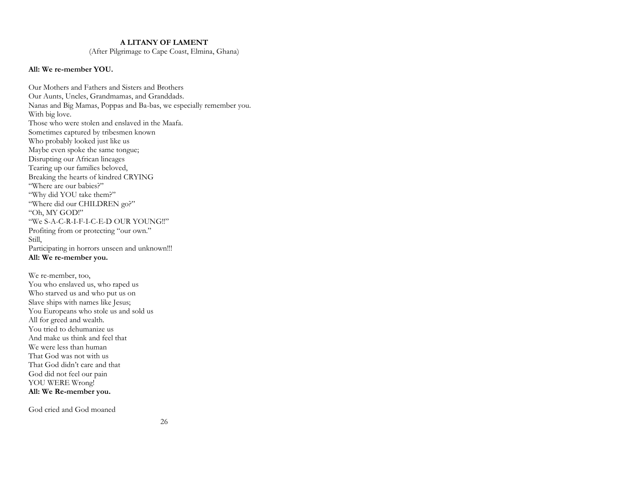#### **A LITANY OF LAMENT**

(After Pilgrimage to Cape Coast, Elmina, Ghana)

#### **All: We re-member YOU.**

Our Mothers and Fathers and Sisters and Brothers Our Aunts, Uncles, Grandmamas, and Granddads. Nanas and Big Mamas, Poppas and Ba-bas, we especially remember you. With big love. Those who were stolen and enslaved in the Maafa. Sometimes captured by tribesmen known Who probably looked just like us Maybe even spoke the same tongue; Disrupting our African lineages Tearing up our families beloved, Breaking the hearts of kindred CRYING "Where are our babies?" "Why did YOU take them?" "Where did our CHILDREN go?" "Oh, MY GOD!" "We S-A-C-R-I-F-I-C-E-D OUR YOUNG!!" Profiting from or protecting "our own." Still, Participating in horrors unseen and unknown!!! **All: We re-member you.** 

We re-member, too, You who enslaved us, who raped us Who starved us and who put us on Slave ships with names like Jesus; You Europeans who stole us and sold us All for greed and wealth. You tried to dehumanize us And make us think and feel that We were less than human That God was not with us That God didn't care and that God did not feel our pain YOU WERE Wrong! **All: We Re-member you.** 

God cried and God moaned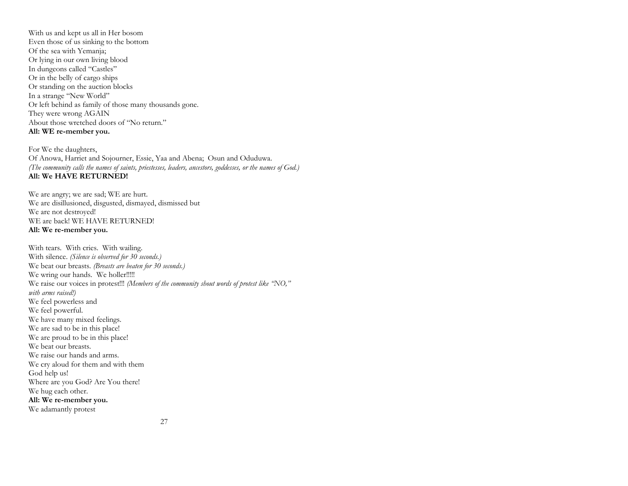With us and kept us all in Her bosom Even those of us sinking to the bottom Of the sea with Yemanja; Or lying in our own living blood In dungeons called "Castles" Or in the belly of cargo ships Or standing on the auction blocks In a strange "New World" Or left behind as family of those many thousands gone. They were wrong AGAIN About those wretched doors of "No return." **All: WE re-member you.**

For We the daughters, Of Anowa, Harriet and Sojourner, Essie, Yaa and Abena; Osun and Oduduwa. *(The community calls the names of saints, priestesses, leaders, ancestors, goddesses, or the names of God.)* **All: We HAVE RETURNED!**

We are angry; we are sad; WE are hurt. We are disillusioned, disgusted, dismayed, dismissed but We are not destroyed! WE are back! WE HAVE RETURNED! **All: We re-member you.** 

With tears. With cries. With wailing. With silence. *(Silence is observed for 30 seconds.)* We beat our breasts. *(Breasts are beaten for 30 seconds.)* We wring our hands. We holler!!!!! We raise our voices in protest!!! *(Members of the community shout words of protest like "NO," with arms raised!)* We feel powerless and We feel powerful. We have many mixed feelings. We are sad to be in this place! We are proud to be in this place! We beat our breasts. We raise our hands and arms. We cry aloud for them and with them God help us! Where are you God? Are You there! We hug each other. **All: We re-member you.** We adamantly protest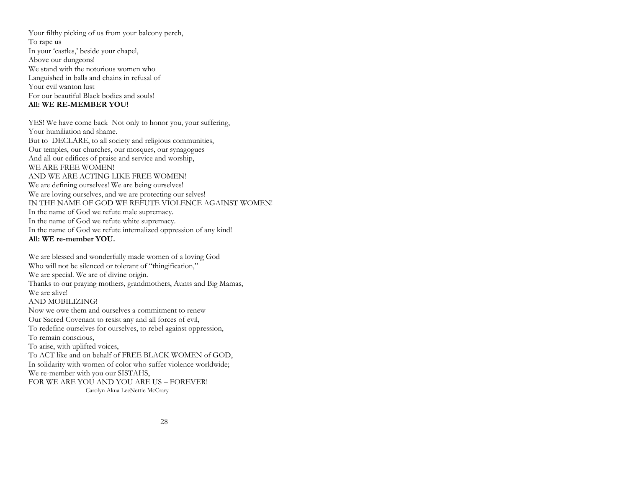Your filthy picking of us from your balcony perch, To rape us In your 'castles,' beside your chapel, Above our dungeons! We stand with the notorious women who Languished in balls and chains in refusal of Your evil wanton lust For our beautiful Black bodies and souls! **All: WE RE-MEMBER YOU!**

YES! We have come back Not only to honor you, your suffering, Your humiliation and shame. But to DECLARE, to all society and religious communities, Our temples, our churches, our mosques, our synagogues And all our edifices of praise and service and worship, WE ARE FREE WOMEN! AND WE ARE ACTING LIKE FREE WOMEN! We are defining ourselves! We are being ourselves! We are loving ourselves, and we are protecting our selves! IN THE NAME OF GOD WE REFUTE VIOLENCE AGAINST WOMEN! In the name of God we refute male supremacy. In the name of God we refute white supremacy. In the name of God we refute internalized oppression of any kind! **All: WE re-member YOU.**

We are blessed and wonderfully made women of a loving God Who will not be silenced or tolerant of "thingification," We are special. We are of divine origin. Thanks to our praying mothers, grandmothers, Aunts and Big Mamas, We are alive! AND MOBILIZING! Now we owe them and ourselves a commitment to renew Our Sacred Covenant to resist any and all forces of evil, To redefine ourselves for ourselves, to rebel against oppression, To remain conscious, To arise, with uplifted voices, To ACT like and on behalf of FREE BLACK WOMEN of GOD, In solidarity with women of color who suffer violence worldwide; We re-member with you our SISTAHS, FOR WE ARE YOU AND YOU ARE US – FOREVER! Carolyn Akua LeeNettie McCrary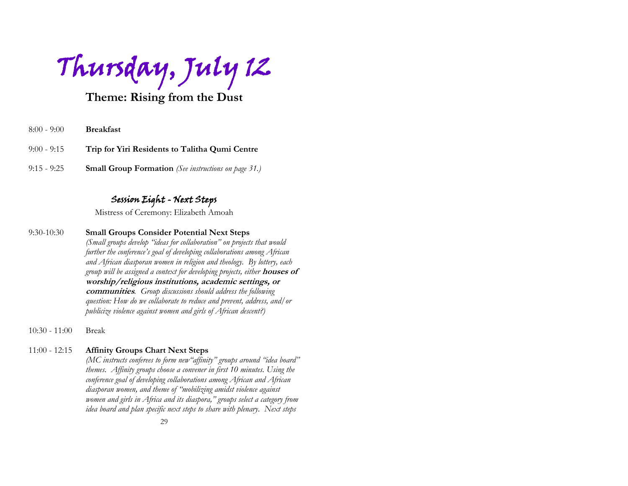Thursday, July 12

## **Theme: Rising from the Dust**

- 8:00 9:00 **Breakfast**
- 9:00 9:15 **Trip for Yiri Residents to Talitha Qumi Centre**
- 9:15 9:25 **Small Group Formation** *(See instructions on page 31.)*

### Session Eight - Next Steps

Mistress of Ceremony: Elizabeth Amoah

- 9:30-10:30 **Small Groups Consider Potential Next Steps** *(Small groups develop "ideas for collaboration" on projects that would further the conference's goal of developing collaborations among African and African diasporan women in religion and theology. By lottery, each group will be assigned a context for developing projects, either* **houses of worship/religious institutions, academic settings, or communities***. Group discussions should address the following question: How do we collaborate to reduce and prevent, address, and/or publicize violence against women and girls of African descent?)*
- 10:30 11:00 Break

#### 11:00 - 12:15 **Affinity Groups Chart Next Steps**

*(MC instructs conferees to form new"affinity" groups around "idea board" themes. Affinity groups choose a convener in first 10 minutes. Using the conference goal of developing collaborations among African and African diasporan women, and theme of "mobilizing amidst violence against women and girls in Africa and its diaspora," groups select a category from idea board and plan specific next steps to share with plenary. Next steps*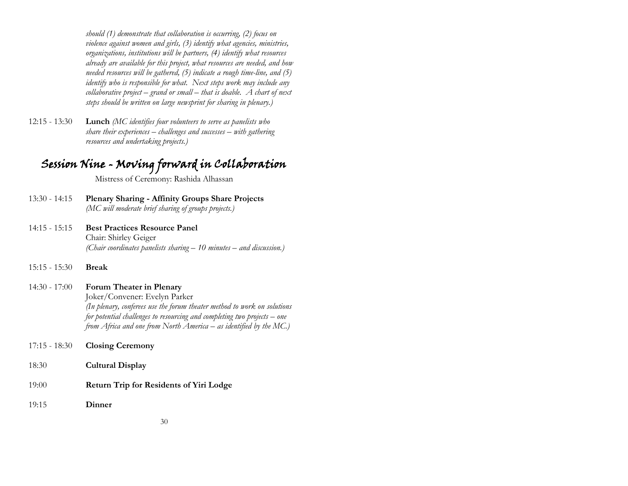*should (1) demonstrate that collaboration is occurring, (2) focus on violence against women and girls, (3) identify what agencies, ministries, organizations, institutions will be partners, (4) identify what resources already are available for this project, what resources are needed, and how needed resources will be gathered, (5) indicate a rough time-line, and (5) identify who is responsible for what. Next steps work may include any collaborative project – grand or small – that is doable. A chart of next steps should be written on large newsprint for sharing in plenary.)*

12:15 - 13:30 **Lunch** *(MC identifies four volunteers to serve as panelists who share their experiences – challenges and successes – with gathering resources and undertaking projects.)*

# Session Nine - Moving forward in Collaboration

Mistress of Ceremony: Rashida Alhassan

- 13:30 14:15 **Plenary Sharing - Affinity Groups Share Projects** *(MC will moderate brief sharing of groups projects.)*
- 14:15 15:15 **Best Practices Resource Panel** Chair: Shirley Geiger *(Chair coordinates panelists sharing – 10 minutes – and discussion.)*
- 15:15 15:30 **Break**

14:30 - 17:00 **Forum Theater in Plenary**  Joker/Convener: Evelyn Parker *(In plenary, conferees use the forum theater method to work on solutions for potential challenges to resourcing and completing two projects – one from Africa and one from North America – as identified by the MC.)* 

- 17:15 18:30 **Closing Ceremony**
- 18:30 **Cultural Display**
- 19:00 **Return Trip for Residents of Yiri Lodge**
- 19:15 **Dinner**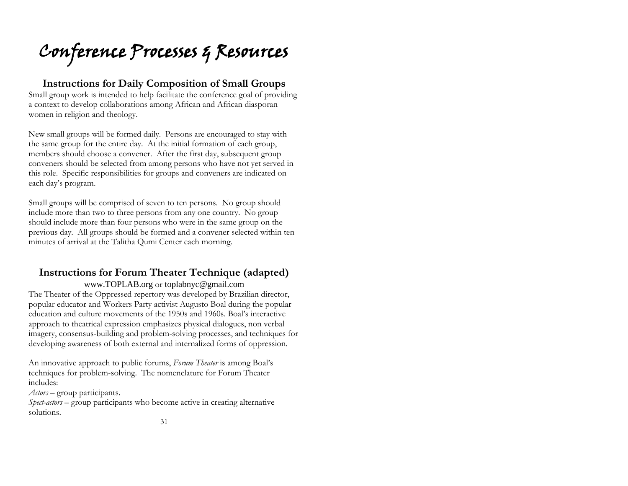Conference Processes & Resources

### **Instructions for Daily Composition of Small Groups**

Small group work is intended to help facilitate the conference goal of providing a context to develop collaborations among African and African diasporan women in religion and theology.

New small groups will be formed daily. Persons are encouraged to stay with the same group for the entire day. At the initial formation of each group, members should choose a convener. After the first day, subsequent group conveners should be selected from among persons who have not yet served in this role. Specific responsibilities for groups and conveners are indicated on each day's program.

Small groups will be comprised of seven to ten persons. No group should include more than two to three persons from any one country. No group should include more than four persons who were in the same group on the previous day. All groups should be formed and a convener selected within ten minutes of arrival at the Talitha Qumi Center each morning.

## **Instructions for Forum Theater Technique (adapted)**

[www.TOPLAB.org](http://www.toplab.org/) or [toplabnyc@gmail.com](mailto:toplabnyc@gmail.com)

The Theater of the Oppressed repertory was developed by Brazilian director, popular educator and Workers Party activist Augusto Boal during the popular education and culture movements of the 1950s and 1960s. Boal's interactive approach to theatrical expression emphasizes physical dialogues, non verbal imagery, consensus-building and problem-solving processes, and techniques for developing awareness of both external and internalized forms of oppression.

An innovative approach to public forums, *Forum Theater* is among Boal's techniques for problem-solving. The nomenclature for Forum Theater includes:

*Actors* – group participants.

*Spect-actors* – group participants who become active in creating alternative solutions.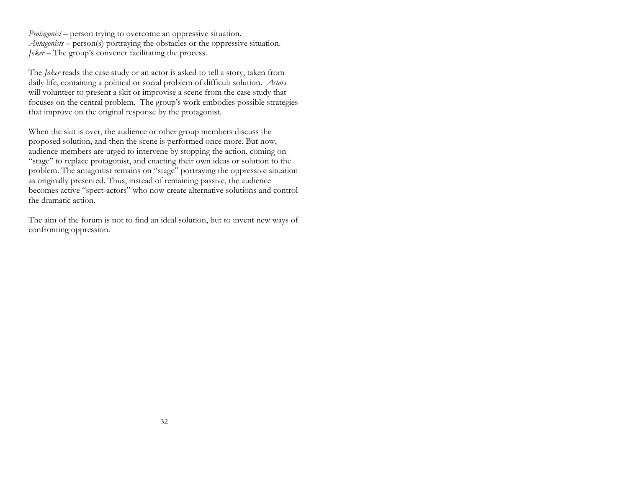*Protagonist* – person trying to overcome an oppressive situation. *Antagonists* – person(s) portraying the obstacles or the oppressive situation. *Joker* – The group's convener facilitating the process.

The *Joker* reads the case study or an actor is asked to tell a story, taken from daily life, containing a political or social problem of difficult solution. *Actors* will volunteer to present a skit or improvise a scene from the case study that focuses on the central problem. The group's work embodies possible strategies that improve on the original response by the protagonist.

When the skit is over, the audience or other group members discuss the proposed solution, and then the scene is performed once more. But now, audience members are urged to intervene by stopping the action, coming on "stage" to replace protagonist, and enacting their own ideas or solution to the problem. The antagonist remains on "stage" portraying the oppressive situation as originally presented. Thus, instead of remaining passive, the audience becomes active "spect-actors" who now create alternative solutions and control the dramatic action.

The aim of the forum is not to find an ideal solution, but to invent new ways of confronting oppression.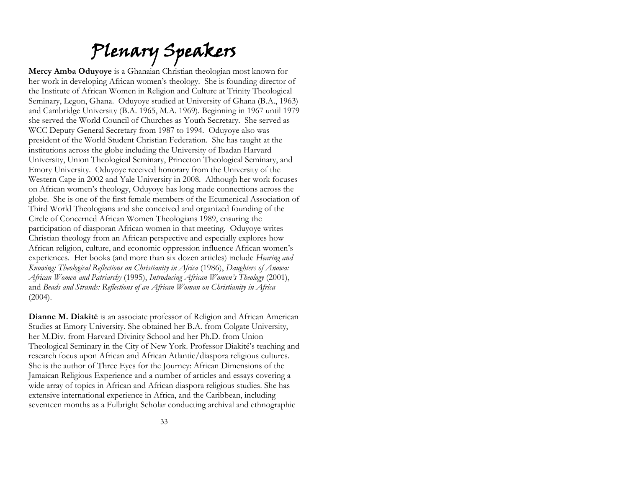# Plenary Speakers

**Mercy Amba Oduyoye** is a Ghanaian Christian theologian most known for her work in developing African women's theology. She is founding director of the Institute of African Women in Religion and Culture at Trinity Theological Seminary, Legon, Ghana. Oduyoye studied at University of Ghana (B.A., 1963) and Cambridge University (B.A. 1965, M.A. 1969). Beginning in 1967 until 1979 she served the World Council of Churches as Youth Secretary. She served as WCC Deputy General Secretary from 1987 to 1994. Oduyoye also was president of the World Student Christian Federation. She has taught at the institutions across the globe including the University of Ibadan Harvard University, Union Theological Seminary, Princeton Theological Seminary, and Emory University. Oduyoye received honorary from the University of the Western Cape in 2002 and Yale University in 2008. Although her work focuses on African women's theology, Oduyoye has long made connections across the globe. She is one of the first female members of the Ecumenical Association of Third World Theologians and she conceived and organized founding of the Circle of Concerned African Women Theologians 1989, ensuring the participation of diasporan African women in that meeting. Oduyoye writes Christian theology from an African perspective and especially explores how African religion, culture, and economic oppression influence African women's experiences. Her books (and more than six dozen articles) include *Hearing and Knowing: Theological Reflections on Christianity in Africa* (1986), *Daughters of Anowa: African Women and Patriarchy* (1995), *Introducing African Women's Theology* (2001), and *Beads and Strands: Reflections of an African Woman on Christianity in Africa*   $(2004).$ 

**Dianne M. Diakité** is an associate professor of Religion and African American Studies at Emory University. She obtained her B.A. from Colgate University, her M.Div. from Harvard Divinity School and her Ph.D. from Union Theological Seminary in the City of New York. Professor Diakité's teaching and research focus upon African and African Atlantic/diaspora religious cultures. She is the author of Three Eyes for the Journey: African Dimensions of the Jamaican Religious Experience and a number of articles and essays covering a wide array of topics in African and African diaspora religious studies. She has extensive international experience in Africa, and the Caribbean, including seventeen months as a Fulbright Scholar conducting archival and ethnographic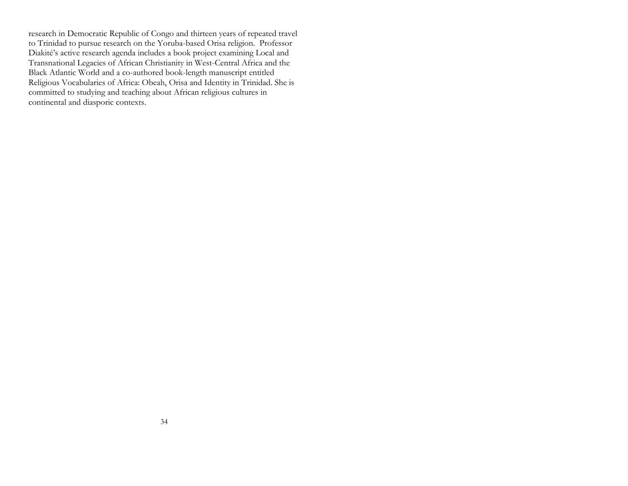research in Democratic Republic of Congo and thirteen years of repeated travel to Trinidad to pursue research on the Yoruba-based Orisa religion. Professor Diakité's active research agenda includes a book project examining Local and Transnational Legacies of African Christianity in West-Central Africa and the Black Atlantic World and a co-authored book-length manuscript entitled Religious Vocabularies of Africa: Obeah, Orisa and Identity in Trinidad. She is committed to studying and teaching about African religious cultures in continental and diasporic contexts.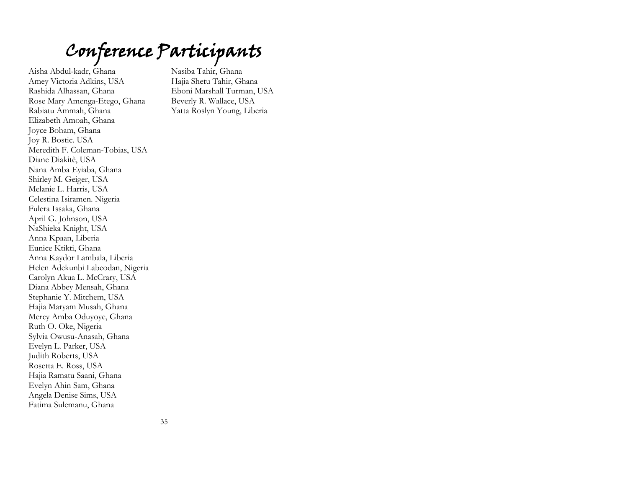# Conference Participants

Aisha Abdul-kadr, Ghana Amey Victoria Adkins, USA Rashida Alhassan, Ghana Rose Mary Amenga-Etego, Ghana Rabiatu Ammah, Ghana Elizabeth Amoah, Ghana Joyce Boham, Ghana Joy R. Bostic. USA Meredith F. Coleman-Tobias, USA Diane Diakitè, USA Nana Amba Eyiaba, Ghana Shirley M. Geiger, USA Melanie L. Harris, USA Celestina Isiramen. Nigeria Fulera Issaka, Ghana April G. Johnson, USA NaShieka Knight, USA Anna Kpaan, Liberia Eunice Ktikti, Ghana Anna Kaydor Lambala, Liberia Helen Adekunbi Labeodan, Nigeria Carolyn Akua L. McCrary, USA Diana Abbey Mensah, Ghana Stephanie Y. Mitchem, USA Hajia Maryam Musah, Ghana Mercy Amba Oduyoye, Ghana Ruth O. Oke, Nigeria Sylvia Owusu-Anasah, Ghana Evelyn L. Parker, USA Judith Roberts, USA Rosetta E. Ross, USA Hajia Ramatu Saani, Ghana Evelyn Ahin Sam, Ghana Angela Denise Sims, USA Fatima Sulemanu, Ghana

Nasiba Tahir, Ghana Hajia Shetu Tahir, Ghana Eboni Marshall Turman, USA Beverly R. Wallace, USA Yatta Roslyn Young, Liberia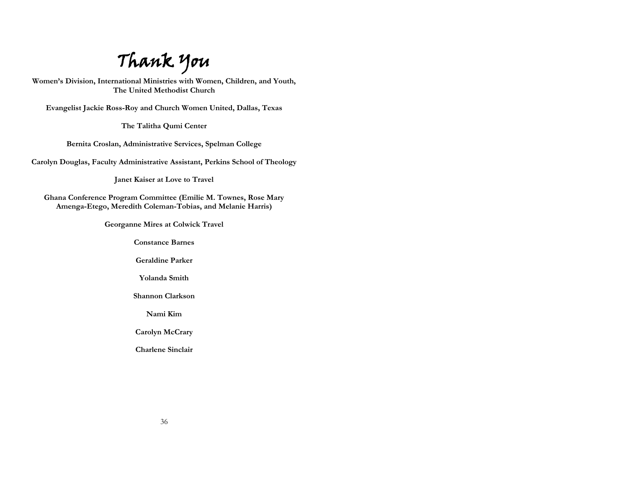Thank You

**Women's Division, International Ministries with Women, Children, and Youth, The United Methodist Church**

**Evangelist Jackie Ross-Roy and Church Women United, Dallas, Texas**

**The Talitha Qumi Center**

**Bernita Croslan, Administrative Services, Spelman College**

**Carolyn Douglas, Faculty Administrative Assistant, Perkins School of Theology**

**Janet Kaiser at Love to Travel**

**Ghana Conference Program Committee (Emilie M. Townes, Rose Mary Amenga-Etego, Meredith Coleman-Tobias, and Melanie Harris)**

**Georganne Mires at Colwick Travel** 

**Constance Barnes**

**Geraldine Parker**

**Yolanda Smith**

**Shannon Clarkson**

**Nami Kim**

**Carolyn McCrary**

**Charlene Sinclair**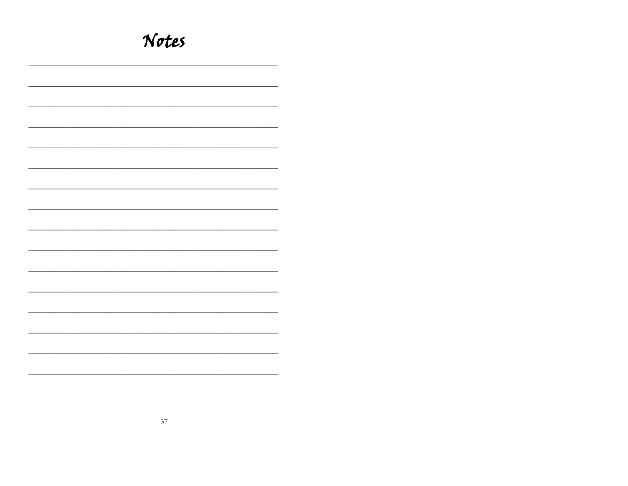| Notes |
|-------|
|       |
|       |
|       |
|       |
|       |
|       |
|       |
|       |
|       |
|       |
|       |
|       |